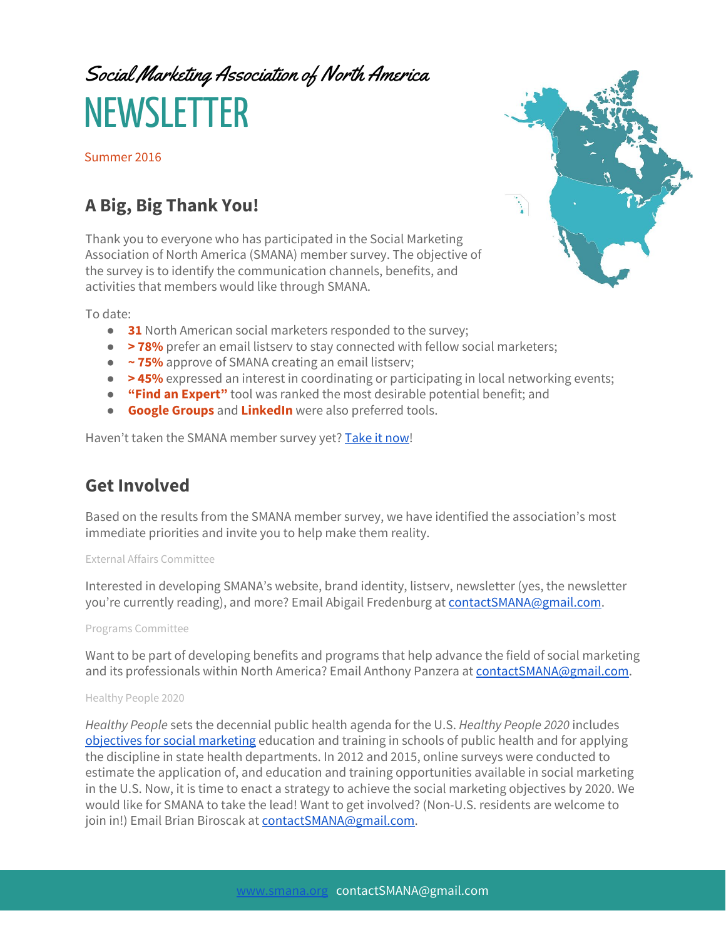# Social Marketing Association of North America **NEWSLETTER**

Summer 2016

## **A Big, Big Thank You!**

Thank you to everyone who has participated in the Social Marketing Association of North America (SMANA) member survey. The objective of the survey is to identify the communication channels, benefits, and activities that members would like through SMANA.

To date:

- **31** North American social marketers responded to the survey;
- **>78%** prefer an email listserv to stay connected with fellow social marketers;
- **~ 75%** approve of SMANA creating an email listserv;
- **>45%** expressed an interest in coordinating or participating in local networking events;
- **"Find an Expert"** tool was ranked the most desirable potential benefit; and
- **Google Groups** and **LinkedIn** were also preferred tools.

Haven't taken the SMANA member survey yet? Take [it now!](https://www.surveymonkey.com/r/SMANA)

## **Get Involved**

Based on the results from the SMANA member survey, we have identified the association's most immediate priorities and invite you to help make them reality.

#### External Affairs Committee

Interested in developing SMANA's website, brand identity, listserv, newsletter (yes, the newsletter you're currently reading), and more? Email Abigail Fredenburg at [contactSMANA@gmail.com.](mailto:contactSMANA@gmail.com)

### Programs Committee

Want to be part of developing benefits and programs that help advance the field of social marketing and its professionals within North America? Email Anthony Panzera at [contactSMANA@gmail.com.](mailto:contactSMANA@gmail.com)

### Healthy People 2020

Healthy People sets the decennial public health agenda for the U.S. Healthy People 2020 includes [objectives for social marketing](https://www.healthypeople.gov/2020/topics-objectives/topic/health-communication-and-health-information-technology/objectives) education and training in schools of public health and for applying the discipline in state health departments. In 2012 and 2015, online surveys were conducted to estimate the application of, and education and training opportunities available in social marketing in the U.S. Now, it is time to enact a strategy to achieve the social marketing objectives by 2020. We would like for SMANA to take the lead! Want to get involved? (Non-U.S. residents are welcome to join in!) Email Brian Biroscak at [contactSMANA@gmail.com.](mailto:contactSMANA@gmail.com)